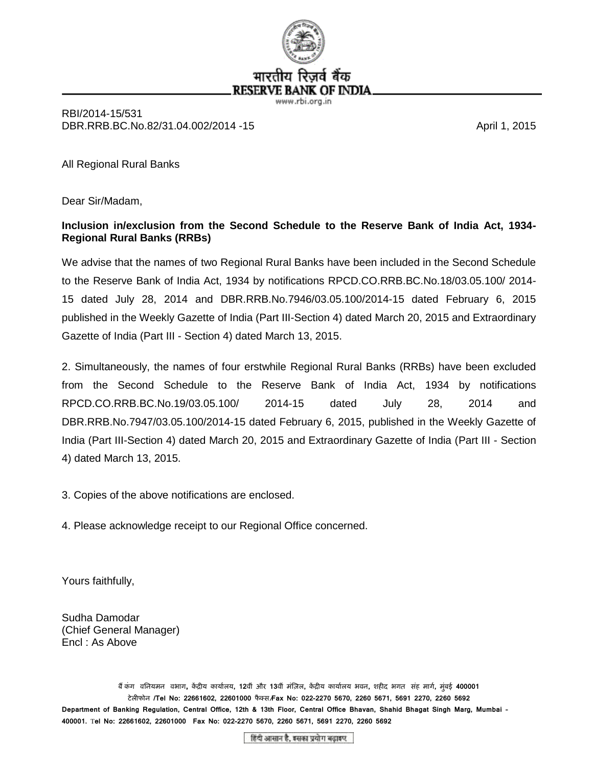

#### रेजवे बैक भारतीय **RESERVE BANK OF INDIA**

www.rbi.org.in

RBI/2014-15/531 DBR.RRB.BC.No.82/31.04.002/2014 -15 **April 1, 2015 April 1, 2015** 

All Regional Rural Banks

Dear Sir/Madam,

### **Inclusion in/exclusion from the Second Schedule to the Reserve Bank of India Act, 1934- Regional Rural Banks (RRBs)**

We advise that the names of two Regional Rural Banks have been included in the Second Schedule to the Reserve Bank of India Act, 1934 by notifications RPCD.CO.RRB.BC.No.18/03.05.100/ 2014- 15 dated July 28, 2014 and DBR.RRB.No.7946/03.05.100/2014-15 dated February 6, 2015 published in the Weekly Gazette of India (Part III-Section 4) dated March 20, 2015 and Extraordinary Gazette of India (Part III - Section 4) dated March 13, 2015.

2. Simultaneously, the names of four erstwhile Regional Rural Banks (RRBs) have been excluded from the Second Schedule to the Reserve Bank of India Act, 1934 by notifications RPCD.CO.RRB.BC.No.19/03.05.100/ 2014-15 dated July 28, 2014 and DBR.RRB.No.7947/03.05.100/2014-15 dated February 6, 2015, published in the Weekly Gazette of India (Part III-Section 4) dated March 20, 2015 and Extraordinary Gazette of India (Part III - Section 4) dated March 13, 2015.

3. Copies of the above notifications are enclosed.

4. Please acknowledge receipt to our Regional Office concerned.

Yours faithfully,

Sudha Damodar (Chief General Manager) Encl : As Above

बैं कंग) वनियमन) वभाग, केंद्रीय कार्यालय, 12वीं और 13वीं मंज़िल, केंद्रीय कार्यालय भवन, शहीद भगत) संह मार्ग, मुंबई 400001 टेलीफोन /Tel No: 22661602, 22601000 फैक्स*/*Fax No: 022-2270 5670, 2260 5671, 5691 2270, 2260 5692 **Department of Banking Regulation, Central Office, 12th & 13th Floor, Central Office Bhavan, Shahid Bhagat Singh Marg, Mumbai – 400001.** T**el No: 22661602, 22601000 Fax No: 022-2270 5670, 2260 5671, 5691 2270, 2260 5692** 

हिंदी आसान है, इसका प्रयोग बढ़ाइए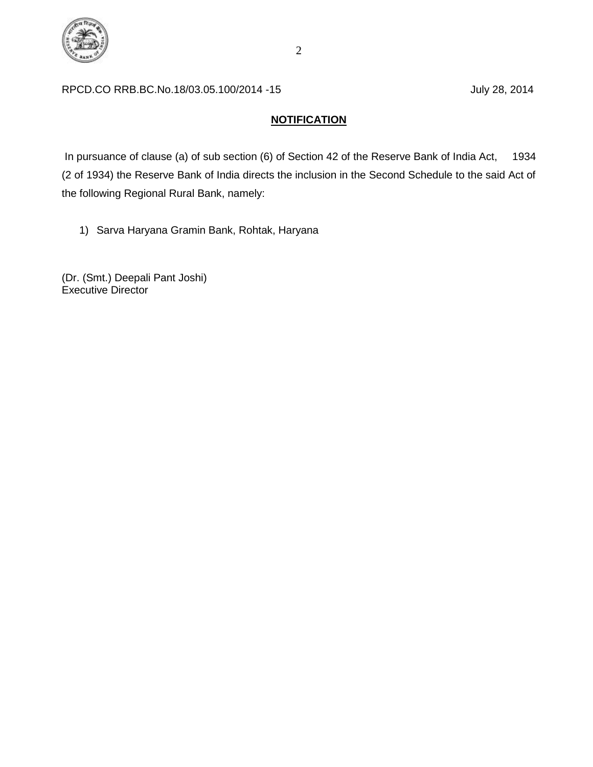

### RPCD.CO RRB.BC.No.18/03.05.100/2014 -15 July 28, 2014

## **NOTIFICATION**

In pursuance of clause (a) of sub section (6) of Section 42 of the Reserve Bank of India Act, 1934 (2 of 1934) the Reserve Bank of India directs the inclusion in the Second Schedule to the said Act of the following Regional Rural Bank, namely:

1) Sarva Haryana Gramin Bank, Rohtak, Haryana

(Dr. (Smt.) Deepali Pant Joshi) Executive Director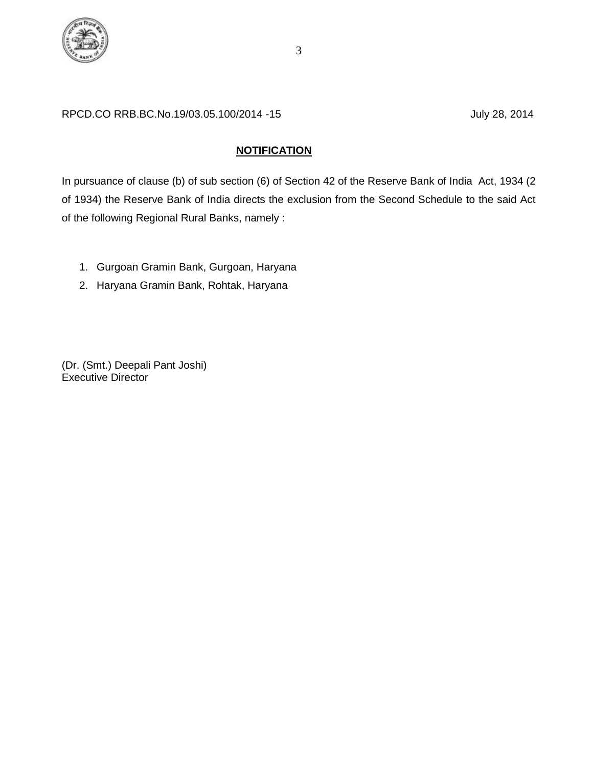

## **NOTIFICATION**

In pursuance of clause (b) of sub section (6) of Section 42 of the Reserve Bank of India Act, 1934 (2 of 1934) the Reserve Bank of India directs the exclusion from the Second Schedule to the said Act of the following Regional Rural Banks, namely :

- 1. Gurgoan Gramin Bank, Gurgoan, Haryana
- 2. Haryana Gramin Bank, Rohtak, Haryana

(Dr. (Smt.) Deepali Pant Joshi) Executive Director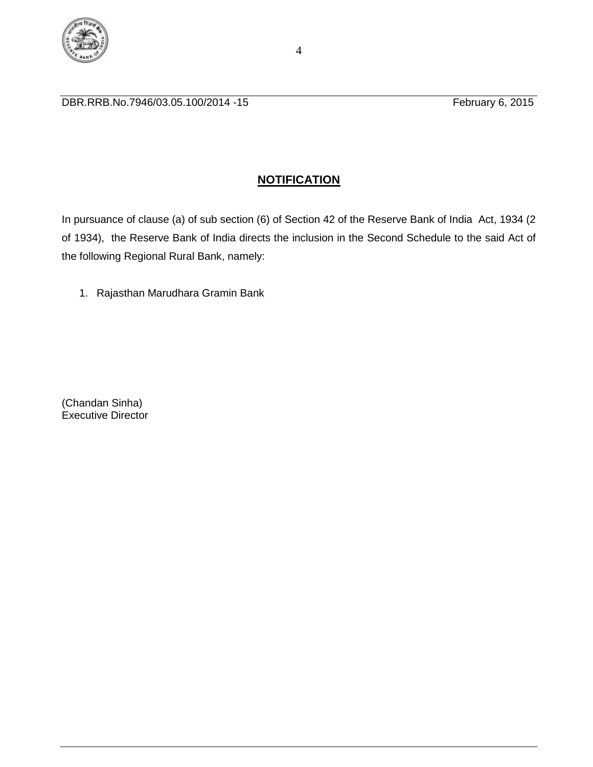

DBR.RRB.No.7946/03.05.100/2014 -15 **February 6, 2015** 

# **NOTIFICATION**

In pursuance of clause (a) of sub section (6) of Section 42 of the Reserve Bank of India Act, 1934 (2 of 1934), the Reserve Bank of India directs the inclusion in the Second Schedule to the said Act of the following Regional Rural Bank, namely:

1. Rajasthan Marudhara Gramin Bank

(Chandan Sinha) Executive Director